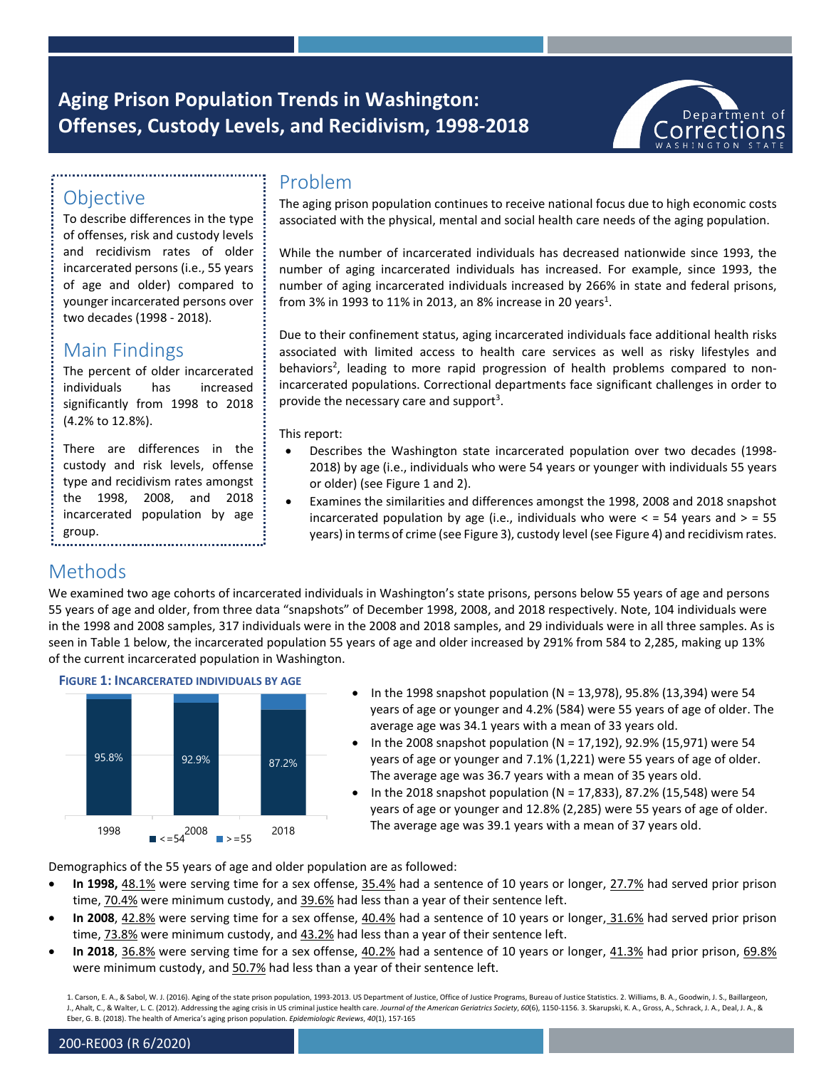# **Aging Prison Population Trends in Washington: Offenses, Custody Levels, and Recidivism, 1998-2018**



# **Objective**

To describe differences in the type of offenses, risk and custody levels and recidivism rates of older incarcerated persons (i.e., 55 years of age and older) compared to younger incarcerated persons over two decades (1998 - 2018).

## Main Findings

The percent of older incarcerated individuals has increased significantly from 1998 to 2018 (4.2% to 12.8%).

There are differences in the custody and risk levels, offense type and recidivism rates amongst the 1998, 2008, and 2018 incarcerated population by age group. 

### Problem

The aging prison population continues to receive national focus due to high economic costs associated with the physical, mental and social health care needs of the aging population.

While the number of incarcerated individuals has decreased nationwide since 1993, the number of aging incarcerated individuals has increased. For example, since 1993, the number of aging incarcerated individuals increased by 266% in state and federal prisons, from 3% in 1993 to 11% in 2013, an 8% increase in 20 years<sup>1</sup>.

Due to their confinement status, aging incarcerated individuals face additional health risks associated with limited access to health care services as well as risky lifestyles and behaviors<sup>2</sup>, leading to more rapid progression of health problems compared to nonincarcerated populations. Correctional departments face significant challenges in order to provide the necessary care and support<sup>3</sup>.

This report:

- Describes the Washington state incarcerated population over two decades (1998- 2018) by age (i.e., individuals who were 54 years or younger with individuals 55 years or older) (see Figure 1 and 2).
- Examines the similarities and differences amongst the 1998, 2008 and 2018 snapshot incarcerated population by age (i.e., individuals who were  $\lt$  = 54 years and  $>$  = 55 years) in terms of crime (see Figure 3), custody level (see Figure 4) and recidivism rates.

### Methods

We examined two age cohorts of incarcerated individuals in Washington's state prisons, persons below 55 years of age and persons 55 years of age and older, from three data "snapshots" of December 1998, 2008, and 2018 respectively. Note, 104 individuals were in the 1998 and 2008 samples, 317 individuals were in the 2008 and 2018 samples, and 29 individuals were in all three samples. As is seen in Table 1 below, the incarcerated population 55 years of age and older increased by 291% from 584 to 2,285, making up 13% of the current incarcerated population in Washington.



- In the 1998 snapshot population (N = 13,978), 95.8% (13,394) were 54 years of age or younger and 4.2% (584) were 55 years of age of older. The average age was 34.1 years with a mean of 33 years old.
- In the 2008 snapshot population (N = 17,192), 92.9% (15,971) were 54 years of age or younger and 7.1% (1,221) were 55 years of age of older. The average age was 36.7 years with a mean of 35 years old.
- In the 2018 snapshot population (N = 17,833), 87.2% (15,548) were 54 years of age or younger and 12.8% (2,285) were 55 years of age of older. The average age was 39.1 years with a mean of 37 years old.

Demographics of the 55 years of age and older population are as followed:

- **In 1998,** 48.1% were serving time for a sex offense, 35.4% had a sentence of 10 years or longer, 27.7% had served prior prison time, 70.4% were minimum custody, and 39.6% had less than a year of their sentence left.
- **In 2008**, 42.8% were serving time for a sex offense, 40.4% had a sentence of 10 years or longer, 31.6% had served prior prison time, 73.8% were minimum custody, and 43.2% had less than a year of their sentence left.
- **In 2018**, 36.8% were serving time for a sex offense, 40.2% had a sentence of 10 years or longer, 41.3% had prior prison, 69.8% were minimum custody, and 50.7% had less than a year of their sentence left.

1. Carson, E. A., & Sabol, W. J. (2016). Aging of the state prison population, 1993-2013. US Department of Justice, Office of Justice Programs, Bureau of Justice Statistics. 2. Williams, B. A., Goodwin, J. S., Baillargeon, J., Ahalt, C., & Walter, L. C. (2012). Addressing the aging crisis in US criminal justice health care. Journal of the American Geriatrics Society, 60(6), 1150-1156. 3. Skarupski, K. A., Gross, A., Schrack, J. A., Deal, J. Eber, G. B. (2018). The health of America's aging prison population. *Epidemiologic Reviews*, *40*(1), 157-165

### 200-RE003 (R 6/2020)